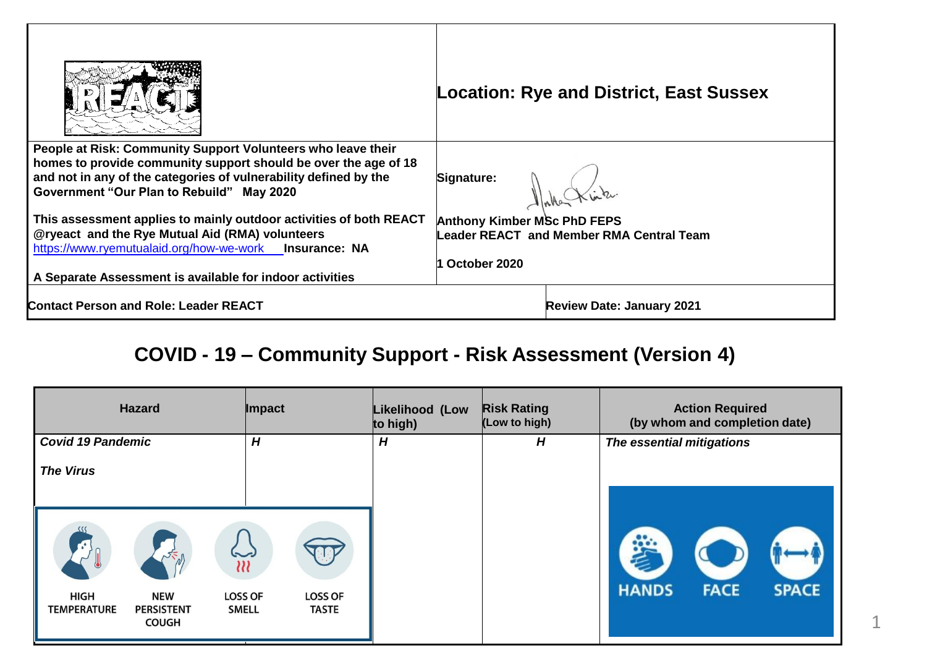|                                                                                                                                                                                                                                                  | <b>Location: Rye and District, East Sussex</b> |  |  |
|--------------------------------------------------------------------------------------------------------------------------------------------------------------------------------------------------------------------------------------------------|------------------------------------------------|--|--|
| People at Risk: Community Support Volunteers who leave their<br>homes to provide community support should be over the age of 18<br>and not in any of the categories of vulnerability defined by the<br>Government "Our Plan to Rebuild" May 2020 | Signature:                                     |  |  |
| This assessment applies to mainly outdoor activities of both REACT                                                                                                                                                                               | <b>Anthony Kimber MSc PhD FEPS</b>             |  |  |
| @ryeact and the Rye Mutual Aid (RMA) volunteers<br>https://www.ryemutualaid.org/how-we-work Insurance: NA                                                                                                                                        | Leader REACT and Member RMA Central Team       |  |  |
|                                                                                                                                                                                                                                                  | October 2020                                   |  |  |
| A Separate Assessment is available for indoor activities                                                                                                                                                                                         |                                                |  |  |
| Contact Person and Role: Leader REACT                                                                                                                                                                                                            | <b>Review Date: January 2021</b>               |  |  |

## **COVID - 19 – Community Support - Risk Assessment (Version 4)**

| <b>Hazard</b>                                                                 | <b>Impact</b>                                                    | Likelihood (Low<br>to high) | <b>Risk Rating</b><br>(Low to high) | <b>Action Required</b><br>(by whom and completion date) |
|-------------------------------------------------------------------------------|------------------------------------------------------------------|-----------------------------|-------------------------------------|---------------------------------------------------------|
| <b>Covid 19 Pandemic</b>                                                      | H                                                                | H                           | H                                   | The essential mitigations                               |
| <b>The Virus</b>                                                              |                                                                  |                             |                                     |                                                         |
| 55                                                                            | ير<br>$\overline{u}$                                             |                             |                                     |                                                         |
| HIGH<br><b>NEW</b><br><b>TEMPERATURE</b><br><b>PERSISTENT</b><br><b>COUGH</b> | <b>LOSS OF</b><br><b>LOSS OF</b><br><b>SMELL</b><br><b>TASTE</b> |                             |                                     | <b>HANDS</b><br><b>FACE</b><br><b>SPACE</b>             |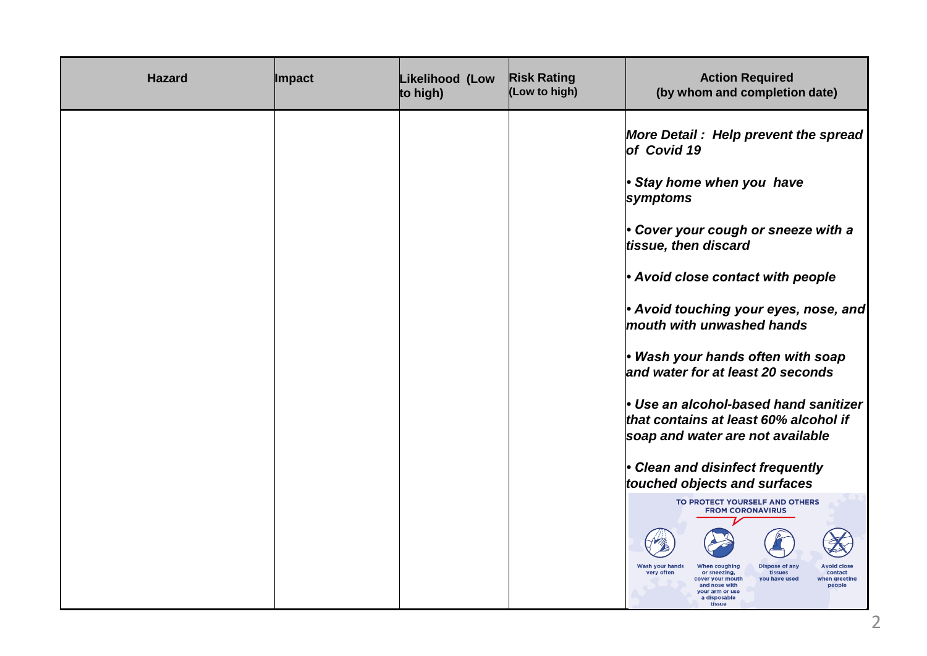| <b>Hazard</b> | <b>Impact</b> | Likelihood (Low<br>to high) | <b>Risk Rating</b><br>(Low to high) | <b>Action Required</b><br>(by whom and completion date)                                                                                                                                                                                                                                                                                                                                                                                                                                                                                                                                                                                                                                                                                                                                                        |
|---------------|---------------|-----------------------------|-------------------------------------|----------------------------------------------------------------------------------------------------------------------------------------------------------------------------------------------------------------------------------------------------------------------------------------------------------------------------------------------------------------------------------------------------------------------------------------------------------------------------------------------------------------------------------------------------------------------------------------------------------------------------------------------------------------------------------------------------------------------------------------------------------------------------------------------------------------|
|               |               |                             |                                     | More Detail: Help prevent the spread<br>of Covid 19<br>Stay home when you have<br>symptoms<br>• Cover your cough or sneeze with a<br>tissue, then discard<br>• Avoid close contact with people<br>• Avoid touching your eyes, nose, and<br>mouth with unwashed hands<br>· Wash your hands often with soap<br>and water for at least 20 seconds<br>• Use an alcohol-based hand sanitizer<br>that contains at least 60% alcohol if<br>soap and water are not available<br>• Clean and disinfect frequently<br>touched objects and surfaces<br>TO PROTECT YOURSELF AND OTHERS<br><b>FROM CORONAVIRUS</b><br><b>Wash vour hands</b><br><b>Dispose of any</b><br>When coughing<br>very often<br>tissues<br>or sneezing,<br>contact<br>cover your mouth<br>you have used<br>vhen areeting<br>and nose with<br>people |
|               |               |                             |                                     | vour arm or use<br>a disposable<br>tissue                                                                                                                                                                                                                                                                                                                                                                                                                                                                                                                                                                                                                                                                                                                                                                      |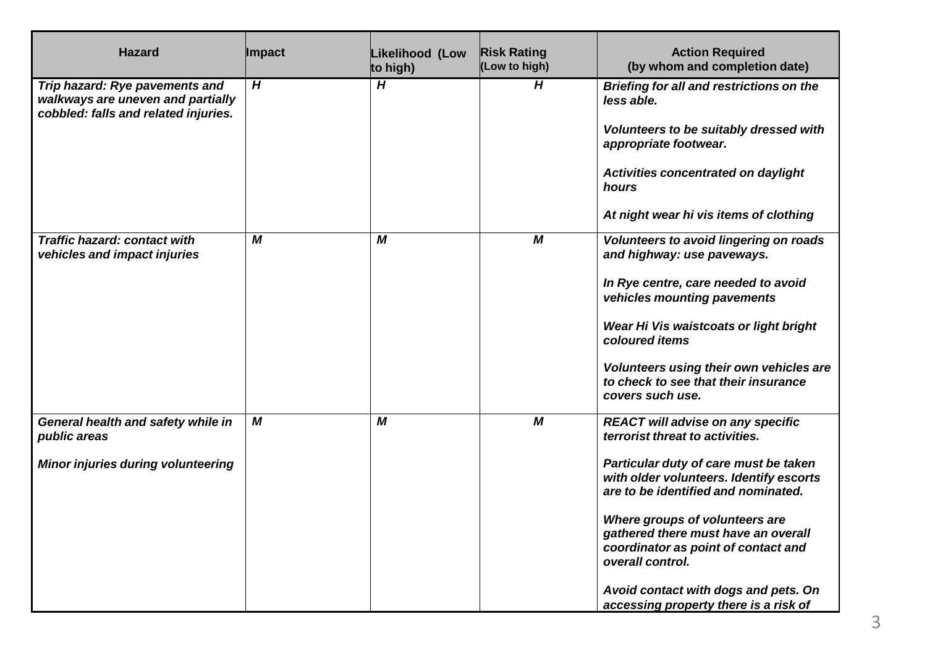| <b>Hazard</b>                                                                                               | <b>Impact</b> | Likelihood (Low<br>to high) | <b>Risk Rating</b><br>(Low to high) | <b>Action Required</b><br>(by whom and completion date)                                                                                                                                                                                                                                                                                                                                                                     |
|-------------------------------------------------------------------------------------------------------------|---------------|-----------------------------|-------------------------------------|-----------------------------------------------------------------------------------------------------------------------------------------------------------------------------------------------------------------------------------------------------------------------------------------------------------------------------------------------------------------------------------------------------------------------------|
| Trip hazard: Rye pavements and<br>walkways are uneven and partially<br>cobbled: falls and related injuries. | H             | H                           | H                                   | <b>Briefing for all and restrictions on the</b><br>less able.<br>Volunteers to be suitably dressed with<br>appropriate footwear.<br>Activities concentrated on daylight<br>hours<br>At night wear hi vis items of clothing                                                                                                                                                                                                  |
| <b>Traffic hazard: contact with</b><br>vehicles and impact injuries                                         | M             | M                           | M                                   | Volunteers to avoid lingering on roads<br>and highway: use paveways.<br>In Rye centre, care needed to avoid<br>vehicles mounting pavements<br>Wear Hi Vis waistcoats or light bright<br>coloured items<br>Volunteers using their own vehicles are<br>to check to see that their insurance<br>covers such use.                                                                                                               |
| General health and safety while in<br>public areas<br><b>Minor injuries during volunteering</b>             | M             | M                           | M                                   | <b>REACT will advise on any specific</b><br>terrorist threat to activities.<br>Particular duty of care must be taken<br>with older volunteers. Identify escorts<br>are to be identified and nominated.<br>Where groups of volunteers are<br>gathered there must have an overall<br>coordinator as point of contact and<br>overall control.<br>Avoid contact with dogs and pets. On<br>accessing property there is a risk of |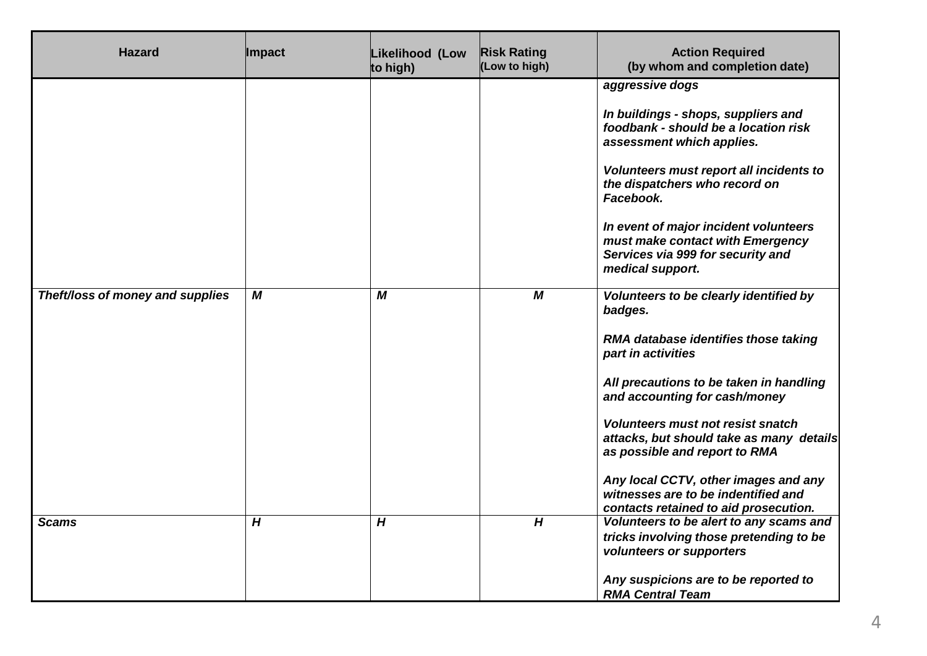| <b>Hazard</b>                    | <b>Impact</b> | Likelihood (Low<br>to high) | <b>Risk Rating</b><br>(Low to high) | <b>Action Required</b><br>(by whom and completion date)                                                                                                                                                                                                                                                                                                                                                                                      |
|----------------------------------|---------------|-----------------------------|-------------------------------------|----------------------------------------------------------------------------------------------------------------------------------------------------------------------------------------------------------------------------------------------------------------------------------------------------------------------------------------------------------------------------------------------------------------------------------------------|
|                                  |               |                             |                                     | aggressive dogs<br>In buildings - shops, suppliers and<br>foodbank - should be a location risk<br>assessment which applies.<br>Volunteers must report all incidents to<br>the dispatchers who record on<br>Facebook.<br>In event of major incident volunteers<br>must make contact with Emergency<br>Services via 999 for security and<br>medical support.                                                                                   |
| Theft/loss of money and supplies | M             | M                           | $\boldsymbol{M}$                    | Volunteers to be clearly identified by<br>badges.<br>RMA database identifies those taking<br>part in activities<br>All precautions to be taken in handling<br>and accounting for cash/money<br><b>Volunteers must not resist snatch</b><br>attacks, but should take as many details<br>as possible and report to RMA<br>Any local CCTV, other images and any<br>witnesses are to be indentified and<br>contacts retained to aid prosecution. |
| <b>Scams</b>                     | H             | H                           | H                                   | Volunteers to be alert to any scams and<br>tricks involving those pretending to be<br>volunteers or supporters<br>Any suspicions are to be reported to<br><b>RMA Central Team</b>                                                                                                                                                                                                                                                            |